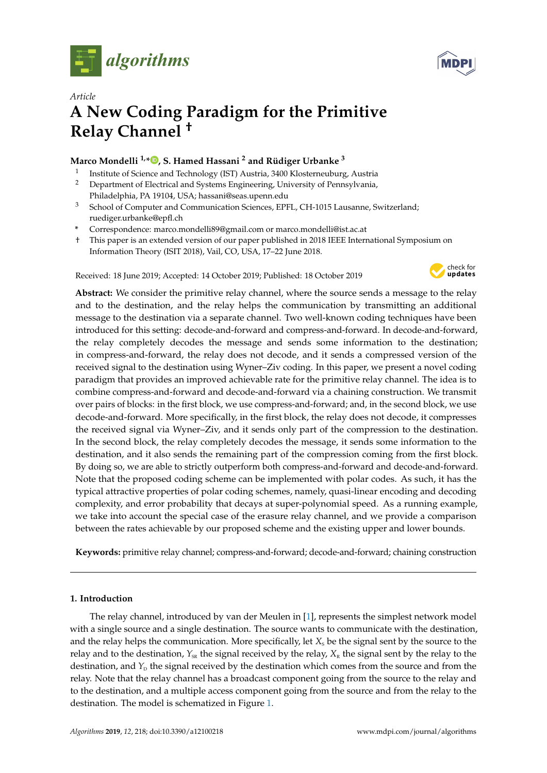



# *Article* **A New Coding Paradigm for the Primitive Relay Channel †**

# **Marco Mondelli 1,\* [,](https://orcid.org/0000-0002-3242-7020) S. Hamed Hassani <sup>2</sup> and Rüdiger Urbanke <sup>3</sup>**

- 1 Institute of Science and Technology (IST) Austria, 3400 Klosterneuburg, Austria <sup>2</sup> Department of Electrical and Systems Engineering, University of Pennsylvania,
- Philadelphia, PA 19104, USA; hassani@seas.upenn.edu
- <sup>3</sup> School of Computer and Communication Sciences, EPFL, CH-1015 Lausanne, Switzerland; ruediger.urbanke@epfl.ch
- **\*** Correspondence: marco.mondelli89@gmail.com or marco.mondelli@ist.ac.at
- † This paper is an extended version of our paper published in 2018 IEEE International Symposium on Information Theory (ISIT 2018), Vail, CO, USA, 17–22 June 2018.

Received: 18 June 2019; Accepted: 14 October 2019; Published: 18 October 2019



**Abstract:** We consider the primitive relay channel, where the source sends a message to the relay and to the destination, and the relay helps the communication by transmitting an additional message to the destination via a separate channel. Two well-known coding techniques have been introduced for this setting: decode-and-forward and compress-and-forward. In decode-and-forward, the relay completely decodes the message and sends some information to the destination; in compress-and-forward, the relay does not decode, and it sends a compressed version of the received signal to the destination using Wyner–Ziv coding. In this paper, we present a novel coding paradigm that provides an improved achievable rate for the primitive relay channel. The idea is to combine compress-and-forward and decode-and-forward via a chaining construction. We transmit over pairs of blocks: in the first block, we use compress-and-forward; and, in the second block, we use decode-and-forward. More specifically, in the first block, the relay does not decode, it compresses the received signal via Wyner–Ziv, and it sends only part of the compression to the destination. In the second block, the relay completely decodes the message, it sends some information to the destination, and it also sends the remaining part of the compression coming from the first block. By doing so, we are able to strictly outperform both compress-and-forward and decode-and-forward. Note that the proposed coding scheme can be implemented with polar codes. As such, it has the typical attractive properties of polar coding schemes, namely, quasi-linear encoding and decoding complexity, and error probability that decays at super-polynomial speed. As a running example, we take into account the special case of the erasure relay channel, and we provide a comparison between the rates achievable by our proposed scheme and the existing upper and lower bounds.

**Keywords:** primitive relay channel; compress-and-forward; decode-and-forward; chaining construction

# **1. Introduction**

The relay channel, introduced by van der Meulen in [\[1\]](#page-12-0), represents the simplest network model with a single source and a single destination. The source wants to communicate with the destination, and the relay helps the communication. More specifically, let  $X<sub>s</sub>$  be the signal sent by the source to the relay and to the destination,  $Y_{SK}$  the signal received by the relay,  $X_{R}$  the signal sent by the relay to the destination, and  $Y<sub>D</sub>$  the signal received by the destination which comes from the source and from the relay. Note that the relay channel has a broadcast component going from the source to the relay and to the destination, and a multiple access component going from the source and from the relay to the destination. The model is schematized in Figure [1.](#page-1-0)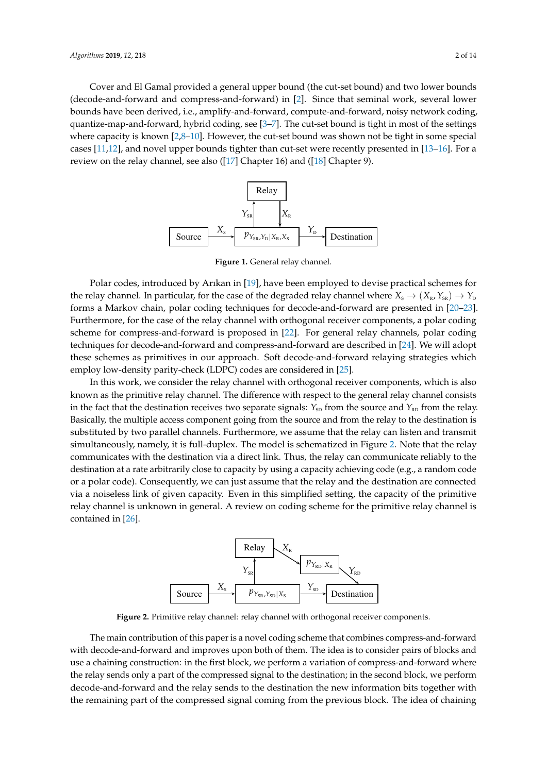Cover and El Gamal provided a general upper bound (the cut-set bound) and two lower bounds (decode-and-forward and compress-and-forward) in [\[2\]](#page-12-1). Since that seminal work, several lower bounds have been derived, i.e., amplify-and-forward, compute-and-forward, noisy network coding, quantize-map-and-forward, hybrid coding, see [\[3–](#page-12-2)[7\]](#page-12-3). The cut-set bound is tight in most of the settings where capacity is known  $[2,8-10]$  $[2,8-10]$  $[2,8-10]$ . However, the cut-set bound was shown not be tight in some special cases [\[11](#page-12-6)[,12\]](#page-12-7), and novel upper bounds tighter than cut-set were recently presented in [\[13–](#page-12-8)[16\]](#page-13-0). For a review on the relay channel, see also ([\[17\]](#page-13-1) Chapter 16) and ([\[18\]](#page-13-2) Chapter 9).

<span id="page-1-0"></span>

Figure 1. General relay channel. **Figure 1.** General relay channel.

Furthermore, for the case of the relay channel with orthogonal receiver components, a polar coding the relay channel. In particular, for the case of the degraded relay channel where  $X_s \to (X_s, Y_{ss}) \to Y_0$ Polar codes, introduced by Arıkan in [\[19\]](#page-13-3), have been employed to devise practical schemes for techniques for decode-and-forward and compress-and-forward are described in [\[24\]](#page-13-7). We will adopt employ low-density parity-check (LDPC) codes are considered in [\[25\]](#page-13-8). forms a Markov chain, polar coding techniques for decode-and-forward are presented in [\[20–](#page-13-4)[23\]](#page-13-5). scheme for compress-and-forward is proposed in [\[22\]](#page-13-6). For general relay channels, polar coding these schemes as primitives in our approach. Soft decode-and-forward relaying strategies which

In this work, we consider the relay channel with orthogonal receiver components, which is also known as the primitive relay channel. The difference with respect to the general relay channel consists in the fact that the destination receives two separate signals:  $Y_{SD}$  from the source and  $Y_{RD}$  from the relay. Basically, the multiple access component going from the source and from the relay to the destination is substituted by two parallel channels. Furthermore, we assume that the relay can listen and transmit simultaneously, namely, it is full-duplex. The model is schematized in Figure 2. Note that the relay communicates with the destination via a direct link. Thus, the relay can communicate reliably to the destination at a rate arbitrarily close to capacity by using a capacity achieving code (e.g., a random code or a polar code). Consequently, we can just assume that the relay and the destination are connected via a noiseless link of given capacity. Even in this simplified setting, the capacity of the primitive relay channel is unknown in general. A review on coding scheme for the primitive relay channel is  $\alpha$  contained in [\[26\]](#page-13-9).

<span id="page-1-1"></span>

Figure 2. Primitive relay channel: relay channel with orthogonal receiver components.

<sup>54</sup> The main contribution of this paper is a novel coding scheme that combines compress-and-forward with <sup>55</sup> decode-and-forward and improves upon both of them. The idea is to consider pairs of blocks and use a chaining with decode-and-forward and improves upon both of them. The idea is to consider pairs of blocks and use a chaining construction: in the first block, we perform a variation of compress-and-forward where the relay sends only a part of the compressed signal to the destination; in the second block, we perform decode-and-forward and the relay sends to the destination the new information bits together with the remaining part of the compressed signal coming from the previous block. The idea of chaining The main contribution of this paper is a novel coding scheme that combines compress-and-forward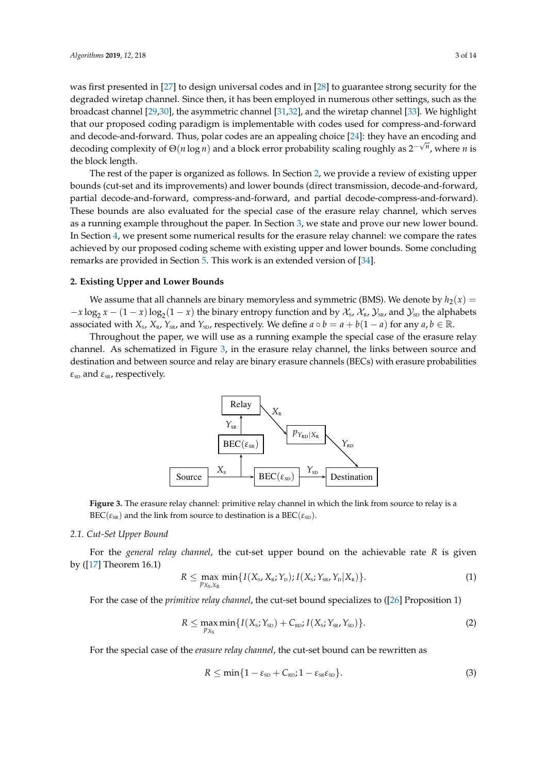was first presented in [\[27\]](#page-13-10) to design universal codes and in [\[28\]](#page-13-11) to guarantee strong security for the degraded wiretap channel. Since then, it has been employed in numerous other settings, such as the broadcast channel [\[29,](#page-13-12)[30\]](#page-13-13), the asymmetric channel [\[31,](#page-13-14)[32\]](#page-13-15), and the wiretap channel [\[33\]](#page-13-16). We highlight that our proposed coding paradigm is implementable with codes used for compress-and-forward and decode-and-forward. Thus, polar codes are an appealing choice [\[24\]](#page-13-7): they have an encoding and decoding complexity of Θ(*n* log *n*) and a block error probability scaling roughly as 2<sup>-√*n*</sup>, where *n* is the block length.

The rest of the paper is organized as follows. In Section [2,](#page-2-0) we provide a review of existing upper bounds (cut-set and its improvements) and lower bounds (direct transmission, decode-and-forward, partial decode-and-forward, compress-and-forward, and partial decode-compress-and-forward). These bounds are also evaluated for the special case of the erasure relay channel, which serves as a running example throughout the paper. In Section [3,](#page-7-0) we state and prove our new lower bound. In Section [4,](#page-10-0) we present some numerical results for the erasure relay channel: we compare the rates achieved by our proposed coding scheme with existing upper and lower bounds. Some concluding remarks are provided in Section [5.](#page-11-0) This work is an extended version of [\[34\]](#page-13-17).

#### <span id="page-2-0"></span>**2. Existing Upper and Lower Bounds**

We assume that all channels are binary memoryless and symmetric (BMS). We denote by  $h_2(x) =$  $-x\log_2 x - (1-x)\log_2(1-x)$  the binary entropy function and by  $\mathcal{X}_s$ ,  $\mathcal{X}_R$ ,  $\mathcal{Y}_{SR}$ , and  $\mathcal{Y}_{SD}$  the alphabets associated with  $X_s$ ,  $X_{R}$ ,  $Y_{SR}$ , and  $Y_{SD}$ , respectively. We define  $a \circ b = a + b(1 - a)$  for any  $a, b \in \mathbb{R}$ .

<span id="page-2-1"></span>Throughout the paper, we will use as a running example the special case of the erasure relay channel. As schematized in Figure [3,](#page-2-1) in the erasure relay channel, the links between source and destination and between source and relay are binary erasure channels (BECs) with erasure probabilities  $\varepsilon_{\text{SD}}$  and  $\varepsilon_{\text{SR}}$ , respectively.



<span id="page-2-4"></span>Figure 3. The erasure relay channel: primitive relay channel in which the link from source to relay is a  $\text{BEC}(\varepsilon_{\text{SR}})$  and the link from source to destination is a  $\text{BEC}(\varepsilon_{\text{SD}})$ .

### <sup>68</sup> decode-and-forward, compress-and-forward, and partial decode-compress-and-forward). These bounds are also *2.1. Cut-Set Upper Bound*

For the caused relay channel, the cut set unnor bound on the echiavable rate  $P$  is given For the *general relay channel*, the cut-set upper bound on the achievable rate *R* is given<br>hy ([17] Theorem 16.1) by ([\[17\]](#page-13-1) Theorem 16.1)

$$
R \leq \max_{p_{X_{\rm S},X_{\rm R}}} \min\{I(X_{\rm S},X_{\rm R};Y_{\rm D}); I(X_{\rm S};Y_{\rm SR},Y_{\rm D}|X_{\rm R})\}.
$$
 (1)

For the case of the *primitive relay channel*, the cut-set bound specializes to ([\[26\]](#page-13-9) Proposition 1)

<span id="page-2-3"></span>
$$
R \leq \max_{p_{X_{\rm S}}} \min\{I(X_{\rm s}; Y_{\rm SD}) + C_{\rm RD}; I(X_{\rm s}; Y_{\rm SR}, Y_{\rm SD})\}.
$$
 (2)

For the special case of the erasure relay channel, the cut-set bound can be rewritten as

<span id="page-2-2"></span>
$$
R \leq \min\{1 - \varepsilon_{\rm SD} + C_{\rm RD} ; 1 - \varepsilon_{\rm SR} \varepsilon_{\rm SD}\}.
$$
 (3)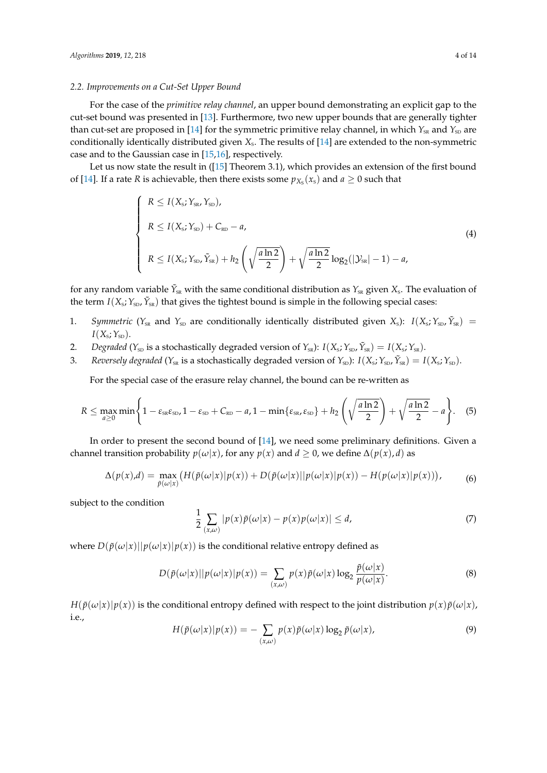#### <span id="page-3-1"></span>*2.2. Improvements on a Cut-Set Upper Bound*

For the case of the *primitive relay channel*, an upper bound demonstrating an explicit gap to the cut-set bound was presented in [\[13\]](#page-12-8). Furthermore, two new upper bounds that are generally tighter than cut-set are proposed in [\[14\]](#page-12-9) for the symmetric primitive relay channel, in which  $Y_{\text{SR}}$  and  $Y_{\text{SD}}$  are conditionally identically distributed given  $X_s$ . The results of [\[14\]](#page-12-9) are extended to the non-symmetric case and to the Gaussian case in [\[15](#page-12-10)[,16\]](#page-13-0), respectively.

Let us now state the result in ([\[15\]](#page-12-10) Theorem 3.1), which provides an extension of the first bound of [\[14\]](#page-12-9). If a rate *R* is achievable, then there exists some  $p_{X_s}(x_s)$  and  $a \ge 0$  such that

$$
\begin{cases}\nR \le I(X_{s}; Y_{SR}, Y_{SD}), \\
R \le I(X_{s}; Y_{SD}) + C_{RD} - a, \\
R \le I(X_{s}; Y_{SD}, \tilde{Y}_{SR}) + h_2 \left(\sqrt{\frac{a \ln 2}{2}}\right) + \sqrt{\frac{a \ln 2}{2}} \log_2(|\mathcal{Y}_{SR}| - 1) - a,\n\end{cases}
$$
\n(4)

for any random variable  $\tilde{Y}_{\text{\tiny SR}}$  with the same conditional distribution as  $Y_{\text{\tiny SR}}$  given  $X_{\text{\tiny S}}$ . The evaluation of the term  $I(X_s; Y_{sD}, \tilde{Y}_{sR})$  that gives the tightest bound is simple in the following special cases:

- 1. *Symmetric* ( $Y_{SR}$  and  $Y_{SD}$  are conditionally identically distributed given  $X_s$ ):  $I(X_s; Y_{SD}, \tilde{Y}_{SR}) =$  $I(X_{\text{s}}; Y_{\text{SD}}).$
- 2. *Degraded* ( $Y_{SD}$  is a stochastically degraded version of  $Y_{SR}$ ):  $I(X_S; Y_{SD}, \tilde{Y}_{SR}) = I(X_S; Y_{SR})$ .
- 3. *Reversely degraded* ( $Y_{SR}$  is a stochastically degraded version of  $Y_{SD}$ ):  $I(X_s; Y_{SD}, \tilde{Y}_{SR}) = I(X_s; Y_{SD})$ .

For the special case of the erasure relay channel, the bound can be re-written as

<span id="page-3-0"></span>
$$
R \leq \max_{a\geq 0} \min\left\{1-\varepsilon_{\text{SR}}\varepsilon_{\text{SD}}, 1-\varepsilon_{\text{SD}}+C_{\text{RD}}-a, 1-\min\{\varepsilon_{\text{SR}}, \varepsilon_{\text{SD}}\}+h_2\left(\sqrt{\frac{a\ln 2}{2}}\right)+\sqrt{\frac{a\ln 2}{2}}-a\right\}.
$$
 (5)

In order to present the second bound of [\[14\]](#page-12-9), we need some preliminary definitions. Given a channel transition probability  $p(\omega|x)$ , for any  $p(x)$  and  $d \ge 0$ , we define  $\Delta(p(x), d)$  as

$$
\Delta(p(x),d) = \max_{\tilde{p}(\omega|x)} \big( H(\tilde{p}(\omega|x)|p(x)) + D(\tilde{p}(\omega|x)||p(\omega|x)|p(x)) - H(p(\omega|x)|p(x)) \big),\tag{6}
$$

subject to the condition

$$
\frac{1}{2} \sum_{(x,\omega)} |p(x)\tilde{p}(\omega|x) - p(x)p(\omega|x)| \le d,\tag{7}
$$

where  $D(\tilde{p}(\omega|x)||p(\omega|x)|p(x))$  is the conditional relative entropy defined as

$$
D(\tilde{p}(\omega|x)||p(\omega|x)|p(x)) = \sum_{(x,\omega)} p(x)\tilde{p}(\omega|x)\log_2\frac{\tilde{p}(\omega|x)}{p(\omega|x)}.
$$
\n(8)

 $H(\tilde{p}(\omega|x)|p(x))$  is the conditional entropy defined with respect to the joint distribution  $p(x)\tilde{p}(\omega|x)$ , i.e.,

$$
H(\tilde{p}(\omega|x)|p(x)) = -\sum_{(x,\omega)} p(x)\tilde{p}(\omega|x) \log_2 \tilde{p}(\omega|x), \tag{9}
$$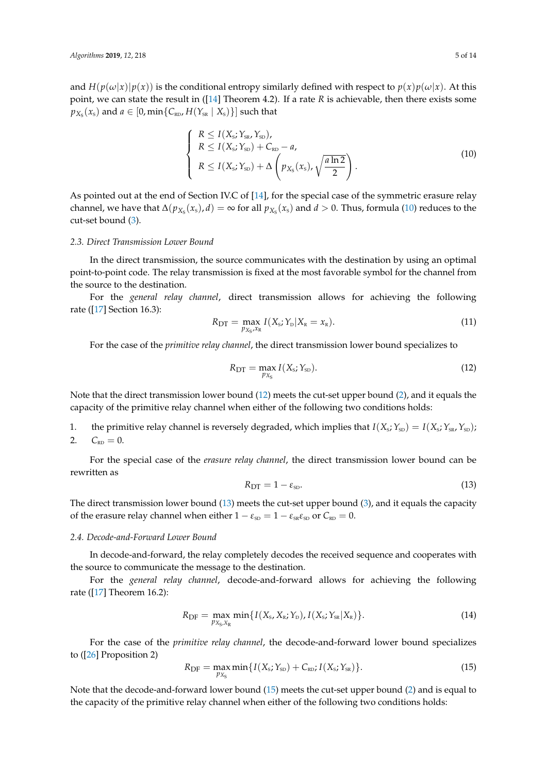and  $H(p(\omega|x)|p(x))$  is the conditional entropy similarly defined with respect to  $p(x)p(\omega|x)$ . At this point, we can state the result in ([\[14\]](#page-12-9) Theorem 4.2). If a rate *R* is achievable, then there exists some  $p_{X_{\text{S}}}(x_{\text{s}})$  and  $a \in [0, \min\{ \mathcal{C}_{\text{\tiny RD}} , H(Y_{\text{\tiny SR}} \mid X_{\text{s}}) \}]$  such that

<span id="page-4-0"></span>
$$
\begin{cases}\nR \le I(X_{\rm s}; Y_{\rm sn}, Y_{\rm SD}), \\
R \le I(X_{\rm s}; Y_{\rm SD}) + C_{\rm RD} - a, \\
R \le I(X_{\rm s}; Y_{\rm SD}) + \Delta \left( p_{X_{\rm S}}(x_{\rm s}), \sqrt{\frac{a \ln 2}{2}} \right).\n\end{cases}
$$
\n(10)

As pointed out at the end of Section IV.C of [\[14\]](#page-12-9), for the special case of the symmetric erasure relay channel, we have that  $\Delta(p_{X_S}(x_s), d) = \infty$  for all  $p_{X_S}(x_s)$  and  $d > 0$ . Thus, formula [\(10\)](#page-4-0) reduces to the cut-set bound [\(3\)](#page-2-2).

#### *2.3. Direct Transmission Lower Bound*

In the direct transmission, the source communicates with the destination by using an optimal point-to-point code. The relay transmission is fixed at the most favorable symbol for the channel from the source to the destination.

For the *general relay channel*, direct transmission allows for achieving the following rate ([\[17\]](#page-13-1) Section 16.3):

<span id="page-4-5"></span>
$$
R_{\text{DT}} = \max_{p_{X_{\text{S}}}, x_{\text{R}}} I(X_{\text{s}}; Y_{\text{D}} | X_{\text{R}} = x_{\text{R}}). \tag{11}
$$

For the case of the *primitive relay channel*, the direct transmission lower bound specializes to

<span id="page-4-1"></span>
$$
R_{\text{DT}} = \max_{p_{X_{\text{S}}}} I(X_{\text{s}}; Y_{\text{SD}}). \tag{12}
$$

Note that the direct transmission lower bound [\(12\)](#page-4-1) meets the cut-set upper bound [\(2\)](#page-2-3), and it equals the capacity of the primitive relay channel when either of the following two conditions holds:

1. the primitive relay channel is reversely degraded, which implies that  $I(X_s; Y_{\text{SD}}) = I(X_s; Y_{\text{SR}}, Y_{\text{SD}})$ ; 2.  $C_{RD} = 0.$ 

For the special case of the *erasure relay channel*, the direct transmission lower bound can be rewritten as

<span id="page-4-2"></span>
$$
R_{\rm DT} = 1 - \varepsilon_{\rm SD}.\tag{13}
$$

The direct transmission lower bound [\(13\)](#page-4-2) meets the cut-set upper bound [\(3\)](#page-2-2), and it equals the capacity of the erasure relay channel when either  $1 - \varepsilon_{SD} = 1 - \varepsilon_{SR} \varepsilon_{SD}$  or  $C_{RD} = 0$ .

## *2.4. Decode-and-Forward Lower Bound*

In decode-and-forward, the relay completely decodes the received sequence and cooperates with the source to communicate the message to the destination.

For the *general relay channel*, decode-and-forward allows for achieving the following rate ([\[17\]](#page-13-1) Theorem 16.2):

<span id="page-4-4"></span>
$$
R_{\rm DF} = \max_{p_{X_{\rm S}, X_{\rm R}}} \min\{I(X_{\rm S}, X_{\rm R}; Y_{\rm D}), I(X_{\rm S}; Y_{\rm SR}|X_{\rm R})\}.
$$
 (14)

For the case of the *primitive relay channel*, the decode-and-forward lower bound specializes to ([\[26\]](#page-13-9) Proposition 2)

<span id="page-4-3"></span>
$$
R_{\rm DF} = \max_{p_{X_{\rm S}}} \min \{ I(X_{\rm S}; Y_{\rm SD}) + C_{\rm RD}; I(X_{\rm S}; Y_{\rm SR}) \}.
$$
 (15)

Note that the decode-and-forward lower bound [\(15\)](#page-4-3) meets the cut-set upper bound [\(2\)](#page-2-3) and is equal to the capacity of the primitive relay channel when either of the following two conditions holds: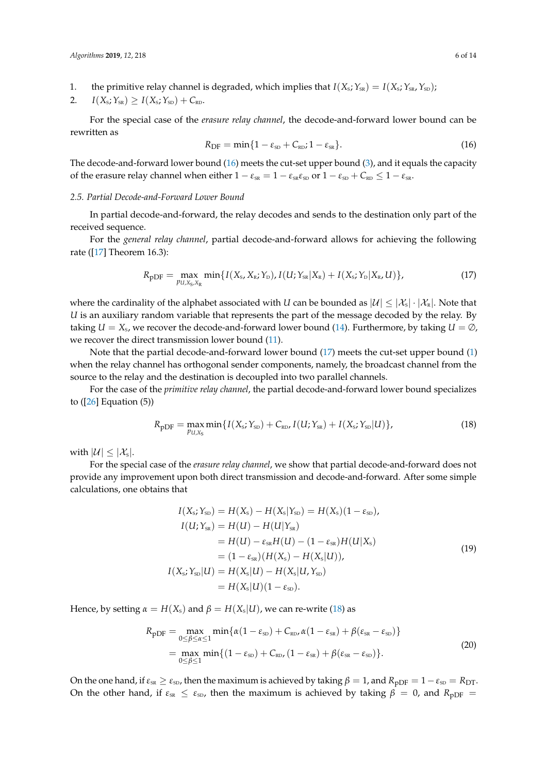1. the primitive relay channel is degraded, which implies that  $I(X_S; Y_{SR}) = I(X_S; Y_{SR}, Y_{SD})$ ;

$$
2. \qquad I(X_{\rm s}; Y_{\rm SR}) \geq I(X_{\rm s}; Y_{\rm SD}) + C_{\rm RD}.
$$

For the special case of the *erasure relay channel*, the decode-and-forward lower bound can be rewritten as

<span id="page-5-0"></span>
$$
R_{\rm DF} = \min\{1 - \varepsilon_{\rm SD} + C_{\rm RD} ; 1 - \varepsilon_{\rm SR}\}.
$$
 (16)

The decode-and-forward lower bound [\(16\)](#page-5-0) meets the cut-set upper bound [\(3\)](#page-2-2), and it equals the capacity of the erasure relay channel when either  $1 - \varepsilon_{SR} = 1 - \varepsilon_{SR} \varepsilon_{SD}$  or  $1 - \varepsilon_{SD} + C_{RD} \leq 1 - \varepsilon_{SR}$ .

#### *2.5. Partial Decode-and-Forward Lower Bound*

In partial decode-and-forward, the relay decodes and sends to the destination only part of the received sequence.

For the *general relay channel*, partial decode-and-forward allows for achieving the following rate ([\[17\]](#page-13-1) Theorem 16.3):

<span id="page-5-1"></span>
$$
R_{\rm pDF} = \max_{p_{U,X_{\rm S},X_{\rm R}}} \min\{I(X_{\rm S},X_{\rm R};Y_{\rm D}), I(U;Y_{\rm SR}|X_{\rm R}) + I(X_{\rm S};Y_{\rm D}|X_{\rm R},U)\},\tag{17}
$$

where the cardinality of the alphabet associated with *U* can be bounded as  $|\mathcal{U}| \leq |\mathcal{X}_s|\cdot |\mathcal{X}_k|$ . Note that *U* is an auxiliary random variable that represents the part of the message decoded by the relay. By taking  $U = X_{\rm s}$ , we recover the decode-and-forward lower bound [\(14\)](#page-4-4). Furthermore, by taking  $U = \emptyset$ , we recover the direct transmission lower bound [\(11\)](#page-4-5).

Note that the partial decode-and-forward lower bound [\(17\)](#page-5-1) meets the cut-set upper bound [\(1\)](#page-2-4) when the relay channel has orthogonal sender components, namely, the broadcast channel from the source to the relay and the destination is decoupled into two parallel channels.

For the case of the *primitive relay channel*, the partial decode-and-forward lower bound specializes to  $([26]$  $([26]$  Equation  $(5)$ )

<span id="page-5-2"></span>
$$
R_{\rm pDF} = \max_{p_{U,X_{\rm S}}} \min\{I(X_{\rm S}; Y_{\rm SD}) + C_{\rm RD}, I(U; Y_{\rm SR}) + I(X_{\rm S}; Y_{\rm SD}|U)\},\tag{18}
$$

with  $|\mathcal{U}| \leq |\mathcal{X}_s|$ .

For the special case of the *erasure relay channel*, we show that partial decode-and-forward does not provide any improvement upon both direct transmission and decode-and-forward. After some simple calculations, one obtains that

$$
I(X_{s}; Y_{sD}) = H(X_{s}) - H(X_{s}|Y_{sD}) = H(X_{s})(1 - \varepsilon_{sD}),
$$
  
\n
$$
I(U; Y_{sR}) = H(U) - H(U|Y_{sR})
$$
  
\n
$$
= H(U) - \varepsilon_{sR}H(U) - (1 - \varepsilon_{sR})H(U|X_{s})
$$
  
\n
$$
= (1 - \varepsilon_{sR})(H(X_{s}) - H(X_{s}|U)),
$$
  
\n
$$
I(X_{s}; Y_{sD}|U) = H(X_{s}|U) - H(X_{s}|U, Y_{sD})
$$
  
\n
$$
= H(X_{s}|U)(1 - \varepsilon_{sD}).
$$
  
\n(19)

Hence, by setting  $\alpha = H(X_s)$  and  $\beta = H(X_s|U)$ , we can re-write [\(18\)](#page-5-2) as

$$
R_{\text{pDF}} = \max_{0 \le \beta \le \alpha \le 1} \min \{ \alpha (1 - \varepsilon_{\text{SD}}) + C_{\text{RD}}, \alpha (1 - \varepsilon_{\text{SR}}) + \beta (\varepsilon_{\text{SR}} - \varepsilon_{\text{SD}}) \}
$$
  
= 
$$
\max_{0 \le \beta \le 1} \min \{ (1 - \varepsilon_{\text{SD}}) + C_{\text{RD}}, (1 - \varepsilon_{\text{SR}}) + \beta (\varepsilon_{\text{SR}} - \varepsilon_{\text{SD}}) \}.
$$
 (20)

On the one hand, if  $\varepsilon_{SR} \geq \varepsilon_{SD}$ , then the maximum is achieved by taking  $\beta = 1$ , and  $R_{\text{DDF}} = 1 - \varepsilon_{SD} = R_{\text{DT}}$ . On the other hand, if  $\varepsilon_{SR} \leq \varepsilon_{SD}$ , then the maximum is achieved by taking  $\beta = 0$ , and  $R_{\text{pDF}} =$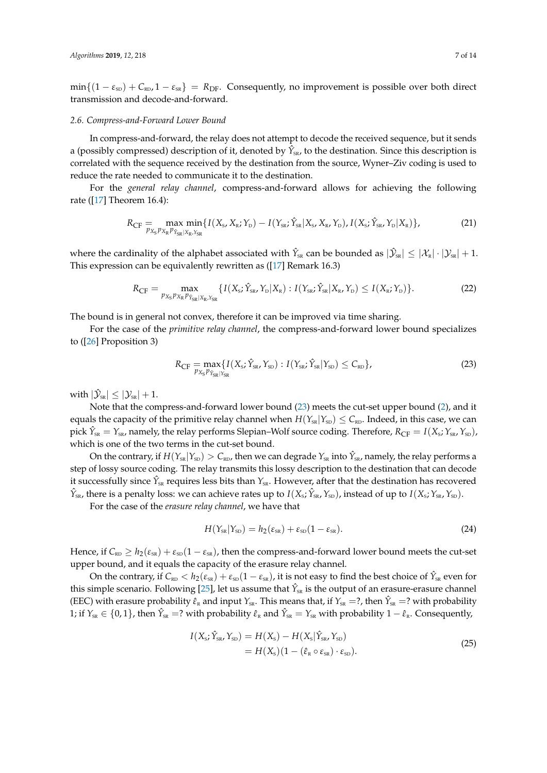$\min\{(1-\varepsilon_{\text{SD}}) + C_{\text{RD}}$ ,  $1-\varepsilon_{\text{SR}}\} = R_{\text{DF}}$ . Consequently, no improvement is possible over both direct transmission and decode-and-forward.

#### *2.6. Compress-and-Forward Lower Bound*

In compress-and-forward, the relay does not attempt to decode the received sequence, but it sends a (possibly compressed) description of it, denoted by  $\hat{Y}_{SR}$ , to the destination. Since this description is correlated with the sequence received by the destination from the source, Wyner–Ziv coding is used to reduce the rate needed to communicate it to the destination.

For the *general relay channel*, compress-and-forward allows for achieving the following rate ([\[17\]](#page-13-1) Theorem 16.4):

$$
R_{\rm CF} = \max_{p_{X_{\rm S}}p_{X_{\rm R}}p_{\hat{Y}_{\rm SR}|X_{\rm R},Y_{\rm SR}} \min\{I(X_{\rm S}, X_{\rm R}; Y_{\rm D}) - I(Y_{\rm SR}; \hat{Y}_{\rm SR}|X_{\rm S}, X_{\rm R}, Y_{\rm D}), I(X_{\rm S}; \hat{Y}_{\rm SR}, Y_{\rm D}|X_{\rm R})\},\tag{21}
$$

where the cardinality of the alphabet associated with  $\hat{Y}_{SR}$  can be bounded as  $|\hat{Y}_{SR}| \leq |{\cal X}_R|\cdot |{\cal Y}_{SR}| + 1$ . This expression can be equivalently rewritten as ([\[17\]](#page-13-1) Remark 16.3)

$$
R_{\rm CF} = \max_{p_{X_{\rm S}} p_{X_{\rm R}} p_{\hat{Y}_{\rm SR}|X_{\rm R}, Y_{\rm SR}}} \{ I(X_{\rm S}; \hat{Y}_{\rm SR}, Y_{\rm D}|X_{\rm R}) : I(Y_{\rm SR}; \hat{Y}_{\rm SR}|X_{\rm R}, Y_{\rm D}) \le I(X_{\rm R}; Y_{\rm D}) \}.
$$
\n(22)

The bound is in general not convex, therefore it can be improved via time sharing.

For the case of the *primitive relay channel*, the compress-and-forward lower bound specializes to ([\[26\]](#page-13-9) Proposition 3)

<span id="page-6-0"></span>
$$
R_{\rm CF} = \max_{p_{X_{\rm S}}p_{\hat{Y}_{\rm SR}|Y_{\rm SR}}} \{ I(X_{\rm S}; \hat{Y}_{\rm SR}, Y_{\rm SD}) : I(Y_{\rm SR}; \hat{Y}_{\rm SR}|Y_{\rm SD}) \le C_{\rm RD} \},\tag{23}
$$

with  $|\mathcal{\hat{Y}}_{\text{\tiny SR}}| \leq |\mathcal{Y}_{\text{\tiny SR}}| + 1$ .

Note that the compress-and-forward lower bound [\(23\)](#page-6-0) meets the cut-set upper bound [\(2\)](#page-2-3), and it equals the capacity of the primitive relay channel when  $H(Y_{\text{SR}}|Y_{\text{SD}}) \leq C_{\text{RD}}$ . Indeed, in this case, we can pick  $\hat{Y}_{SR} = Y_{SR}$ , namely, the relay performs Slepian–Wolf source coding. Therefore,  $R_{CF} = I(X_s; Y_{SR}, Y_{SD})$ , which is one of the two terms in the cut-set bound.

On the contrary, if  $H(Y_{\text{\tiny SR}}|Y_{\text{\tiny SD}}) > C_{\text{\tiny RD}}$ , then we can degrade  $Y_{\text{\tiny SR}}$  into  $\hat{Y}_{\text{\tiny SR}}$ , namely, the relay performs a step of lossy source coding. The relay transmits this lossy description to the destination that can decode it successfully since  $\hat{Y}_{\text{\tiny SR}}$  requires less bits than  $Y_{\text{\tiny SR}}$ . However, after that the destination has recovered  $\hat{Y}_{SR}$ , there is a penalty loss: we can achieve rates up to  $I(X_s; \hat{Y}_{SR}, Y_{SD})$ , instead of up to  $I(X_s; Y_{SR}, Y_{SD})$ .

For the case of the *erasure relay channel*, we have that

$$
H(Y_{\rm SR}|Y_{\rm SD}) = h_2(\varepsilon_{\rm SR}) + \varepsilon_{\rm SD}(1 - \varepsilon_{\rm SR}).
$$
\n(24)

Hence, if  $C_{RD} \ge h_2(\epsilon_{SR}) + \epsilon_{SD}(1-\epsilon_{SR})$ , then the compress-and-forward lower bound meets the cut-set upper bound, and it equals the capacity of the erasure relay channel.

<span id="page-6-1"></span>On the contrary, if  $C_{RD} < h_2(\varepsilon_{SR}) + \varepsilon_{SD}(1-\varepsilon_{SR})$ , it is not easy to find the best choice of  $\hat{Y}_{SR}$  even for this simple scenario. Following [\[25\]](#page-13-8), let us assume that  $\hat{Y}_{\text{\tiny SR}}$  is the output of an erasure-erasure channel (EEC) with erasure probability  $\hat{\epsilon}_R$  and input  $Y_{SR}$ . This means that, if  $Y_{SR} =$ ?, then  $\hat{Y}_{SR} =$ ? with probability 1; if  $Y_{SR} \in \{0,1\}$ , then  $\hat{Y}_{SR} = ?$  with probability  $\hat{\varepsilon}_R$  and  $\hat{Y}_{SR} = Y_{SR}$  with probability  $1 - \hat{\varepsilon}_R$ . Consequently,

$$
I(X_{\rm s}; \hat{Y}_{\rm SR}, Y_{\rm SD}) = H(X_{\rm s}) - H(X_{\rm s} | \hat{Y}_{\rm SR}, Y_{\rm SD})
$$
  
= 
$$
H(X_{\rm s}) (1 - (\hat{\varepsilon}_{\rm R} \circ \varepsilon_{\rm SR}) \cdot \varepsilon_{\rm SD}).
$$
 (25)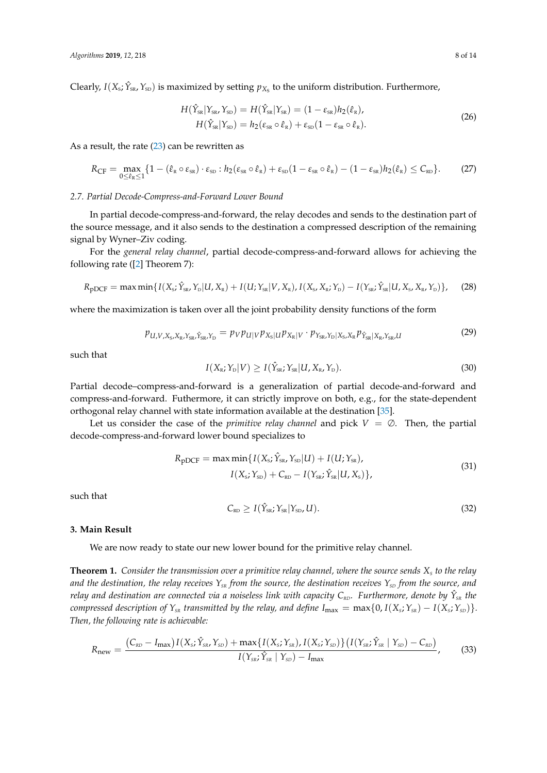<span id="page-7-3"></span>Clearly,  $I(X_s; \hat{Y}_{ss}, Y_{ss})$  is maximized by setting  $p_{X_s}$  to the uniform distribution. Furthermore,

$$
H(\hat{Y}_{SR}|Y_{SR}, Y_{SD}) = H(\hat{Y}_{SR}|Y_{SR}) = (1 - \varepsilon_{SR})h_2(\hat{\varepsilon}_R),
$$
  

$$
H(\hat{Y}_{SR}|Y_{SD}) = h_2(\varepsilon_{SR} \circ \hat{\varepsilon}_R) + \varepsilon_{SD}(1 - \varepsilon_{SR} \circ \hat{\varepsilon}_R).
$$
 (26)

As a result, the rate [\(23\)](#page-6-0) can be rewritten as

<span id="page-7-4"></span>
$$
R_{\rm CF} = \max_{0 \leq \hat{\varepsilon}_{\rm R} \leq 1} \{ 1 - (\hat{\varepsilon}_{\rm R} \circ \varepsilon_{\rm SR}) \cdot \varepsilon_{\rm SD} : h_2(\varepsilon_{\rm SR} \circ \hat{\varepsilon}_{\rm R}) + \varepsilon_{\rm SD} (1 - \varepsilon_{\rm SR} \circ \hat{\varepsilon}_{\rm R}) - (1 - \varepsilon_{\rm SR}) h_2(\hat{\varepsilon}_{\rm R}) \leq C_{\rm RD} \}.
$$
 (27)

#### *2.7. Partial Decode-Compress-and-Forward Lower Bound*

In partial decode-compress-and-forward, the relay decodes and sends to the destination part of the source message, and it also sends to the destination a compressed description of the remaining signal by Wyner–Ziv coding.

For the *general relay channel*, partial decode-compress-and-forward allows for achieving the following rate ([\[2\]](#page-12-1) Theorem 7):

<span id="page-7-5"></span>
$$
R_{\rm pDCF} = \max \min \{ I(X_{\rm s}; \hat{Y}_{\rm sR}, Y_{\rm p} | U, X_{\rm R}) + I(U; Y_{\rm sR} | V, X_{\rm R}), I(X_{\rm s}, X_{\rm R}; Y_{\rm p}) - I(Y_{\rm sR}; \hat{Y}_{\rm sR} | U, X_{\rm s}, X_{\rm R}, Y_{\rm p}) \},
$$
 (28)

where the maximization is taken over all the joint probability density functions of the form

<span id="page-7-6"></span>
$$
p_{U,V,X_{\rm S},X_{\rm R},Y_{\rm SR},\hat{Y}_{\rm SR},Y_{\rm D}} = p_V p_{U|V} p_{X_{\rm S}|U} p_{X_{\rm R}|V} \cdot p_{Y_{\rm SR},Y_{\rm D}|X_{\rm S},X_{\rm R}} p_{\hat{Y}_{\rm SR}|X_{\rm R},Y_{\rm SR},U}
$$
(29)

such that

$$
I(X_{\rm R}; Y_{\rm D}|V) \ge I(\hat{Y}_{\rm SR}; Y_{\rm SR}|U, X_{\rm R}, Y_{\rm D}).
$$
\n(30)

Partial decode–compress-and-forward is a generalization of partial decode-and-forward and compress-and-forward. Futhermore, it can strictly improve on both, e.g., for the state-dependent orthogonal relay channel with state information available at the destination [\[35\]](#page-13-18).

Let us consider the case of the *primitive relay channel* and pick  $V = \emptyset$ . Then, the partial decode-compress-and-forward lower bound specializes to

$$
R_{\text{pDCF}} = \max \min \{ I(X_{\text{s}}; \hat{Y}_{\text{SR}}, Y_{\text{SD}} | U) + I(U; Y_{\text{SR}}), I(X_{\text{s}}; Y_{\text{SD}}) + C_{\text{RD}} - I(Y_{\text{SR}}; \hat{Y}_{\text{SR}} | U, X_{\text{s}}) \},
$$
(31)

<span id="page-7-7"></span>such that

$$
C_{RD} \ge I(\hat{Y}_{SR}; Y_{SR}|Y_{SD}, U). \tag{32}
$$

#### <span id="page-7-0"></span>**3. Main Result**

We are now ready to state our new lower bound for the primitive relay channel.

<span id="page-7-2"></span>**Theorem 1.** *Consider the transmission over a primitive relay channel, where the source sends X<sup>S</sup> to the relay* and the destination, the relay receives  $Y_{SR}$  from the source, the destination receives  $Y_{SD}$  from the source, and *relay and destination are connected via a noiseless link with capacity CRD. Furthermore, denote by Y*ˆ *SR the*  $\{F_{\text{conv}} = F_{\text{conv}}(X) = F_{\text{conv}}(X) = F_{\text{conv}}(X)$  *compressed description of*  $Y_{\text{vR}}$  *(x*<sub>*S*</sub> *x*<sup>*S*<sub>*SR*</sub>) + *I*(*X*<sub>*s*</sub>; *Y*<sub>*SD*</sub>)}.</sup> *Then, the following rate is achievable:*

<span id="page-7-1"></span>
$$
R_{\text{new}} = \frac{(C_{\text{RD}} - I_{\text{max}})I(X_{\text{s}}; \hat{Y}_{\text{SR}}, Y_{\text{SD}}) + \max\{I(X_{\text{s}}; Y_{\text{SR}}), I(X_{\text{s}}; Y_{\text{SD}})\} \big(I(Y_{\text{SR}}; \hat{Y}_{\text{SR}} | Y_{\text{SD}}) - C_{\text{RD}}\big)}{I(Y_{\text{SR}}; \hat{Y}_{\text{SR}} | Y_{\text{SD}}) - I_{\text{max}}},
$$
(33)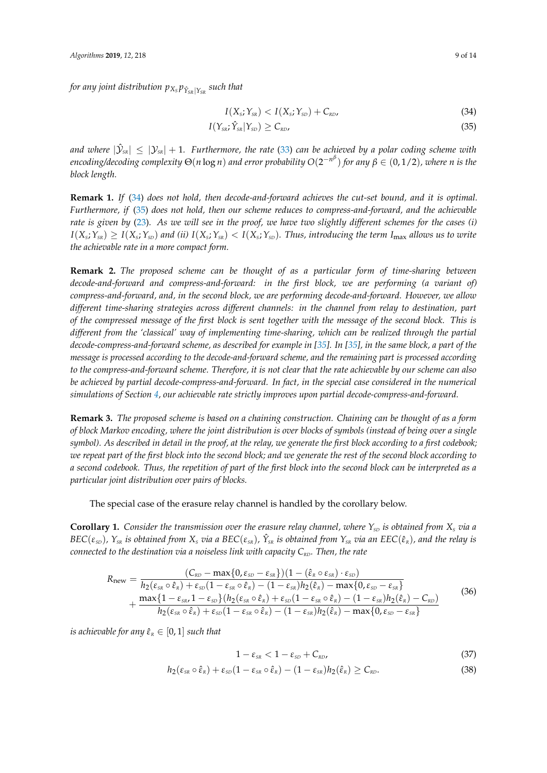*for any joint distribution*  $p_{X_S}p_{\hat{Y}_{S R}|Y_{S R}}$  *such that* 

<span id="page-8-1"></span><span id="page-8-0"></span>
$$
I(Xs; YSR) < I(Xs; YSD) + CRD,
$$
\n(34)

$$
I(Y_{SR}; \hat{Y}_{SR} | Y_{SD}) \geq C_{RD}, \tag{35}
$$

and where  $|\mathcal{Y}_{\text{\tiny SR}}|\leq |\mathcal{Y}_{\text{\tiny SR}}|+1$ . Furthermore, the rate [\(33\)](#page-7-1) can be achieved by a polar coding scheme with *encoding/decoding complexity* Θ(*n* log *n*) *and error probability O*(2 −*n β* ) *for any β* ∈ (0, 1/2)*, where n is the block length.*

**Remark 1.** *If* [\(34\)](#page-8-0) *does not hold, then decode-and-forward achieves the cut-set bound, and it is optimal. Furthermore, if* [\(35\)](#page-8-1) *does not hold, then our scheme reduces to compress-and-forward, and the achievable rate is given by* [\(23\)](#page-6-0)*. As we will see in the proof, we have two slightly different schemes for the cases (i)*  $I(X_s;Y_{sR})\geq I(X_s;Y_{sD})$  and (ii)  $I(X_s;Y_{sR})< I(X_s;Y_{sD})$ . Thus, introducing the term I<sub>max</sub> allows us to write *the achievable rate in a more compact form.*

**Remark 2.** *The proposed scheme can be thought of as a particular form of time-sharing between decode-and-forward and compress-and-forward: in the first block, we are performing (a variant of) compress-and-forward, and, in the second block, we are performing decode-and-forward. However, we allow different time-sharing strategies across different channels: in the channel from relay to destination, part of the compressed message of the first block is sent together with the message of the second block. This is different from the 'classical' way of implementing time-sharing, which can be realized through the partial decode-compress-and-forward scheme, as described for example in [\[35\]](#page-13-18). In [\[35\]](#page-13-18), in the same block, a part of the message is processed according to the decode-and-forward scheme, and the remaining part is processed according to the compress-and-forward scheme. Therefore, it is not clear that the rate achievable by our scheme can also be achieved by partial decode-compress-and-forward. In fact, in the special case considered in the numerical simulations of Section [4,](#page-10-0) our achievable rate strictly improves upon partial decode-compress-and-forward.*

**Remark 3.** *The proposed scheme is based on a chaining construction. Chaining can be thought of as a form of block Markov encoding, where the joint distribution is over blocks of symbols (instead of being over a single symbol). As described in detail in the proof, at the relay, we generate the first block according to a first codebook; we repeat part of the first block into the second block; and we generate the rest of the second block according to a second codebook. Thus, the repetition of part of the first block into the second block can be interpreted as a particular joint distribution over pairs of blocks.*

The special case of the erasure relay channel is handled by the corollary below.

<span id="page-8-3"></span>**Corollary 1.** Consider the transmission over the erasure relay channel, where  $Y_{\rm SD}$  is obtained from  $X_{\rm S}$  via a  $BEC(\varepsilon_{\text{\tiny SD}})$ ,  $Y_{\text{\tiny SR}}$  is obtained from  $X_s$  via a  $BEC(\varepsilon_{\text{\tiny SR}})$ ,  $\hat{Y}_{\text{\tiny SR}}$  is obtained from  $Y_{\text{\tiny SR}}$  via an  $EEC(\hat{\varepsilon}_{\text{\tiny R}})$ , and the relay is *connected to the destination via a noiseless link with capacity C<sub><i>RD</sub>*. Then, the rate</sub>

<span id="page-8-2"></span>
$$
R_{\text{new}} = \frac{(C_{\kappa D} - \max\{0, \varepsilon_{\kappa D} - \varepsilon_{\kappa R}\}) (1 - (\hat{\varepsilon}_{\kappa} \circ \varepsilon_{\kappa R}) \cdot \varepsilon_{\kappa D})}{h_2(\varepsilon_{\kappa R} \circ \hat{\varepsilon}_{\kappa}) + \varepsilon_{\kappa D} (1 - \varepsilon_{\kappa R} \circ \hat{\varepsilon}_{\kappa}) - (1 - \varepsilon_{\kappa R}) h_2(\hat{\varepsilon}_{\kappa}) - \max\{0, \varepsilon_{\kappa D} - \varepsilon_{\kappa R}\}\n+ \frac{\max\{1 - \varepsilon_{\kappa R}, 1 - \varepsilon_{\kappa D}\} (h_2(\varepsilon_{\kappa R} \circ \hat{\varepsilon}_{\kappa}) + \varepsilon_{\kappa D} (1 - \varepsilon_{\kappa R} \circ \hat{\varepsilon}_{\kappa}) - (1 - \varepsilon_{\kappa R}) h_2(\hat{\varepsilon}_{\kappa}) - C_{\kappa D}}{h_2(\varepsilon_{\kappa R} \circ \hat{\varepsilon}_{\kappa}) + \varepsilon_{\kappa D} (1 - \varepsilon_{\kappa R} \circ \hat{\varepsilon}_{\kappa}) - (1 - \varepsilon_{\kappa R}) h_2(\hat{\varepsilon}_{\kappa}) - \max\{0, \varepsilon_{\kappa D} - \varepsilon_{\kappa R}\}} \tag{36}
$$

*is achievable for any*  $\hat{\varepsilon}_R \in [0, 1]$  *such that* 

$$
1 - \varepsilon_{\scriptscriptstyle SR} < 1 - \varepsilon_{\scriptscriptstyle SD} + C_{\scriptscriptstyle RD},\tag{37}
$$

$$
h_2(\varepsilon_{\scriptscriptstyle SR} \circ \hat{\varepsilon}_{\scriptscriptstyle R}) + \varepsilon_{\scriptscriptstyle SD}(1 - \varepsilon_{\scriptscriptstyle SR} \circ \hat{\varepsilon}_{\scriptscriptstyle R}) - (1 - \varepsilon_{\scriptscriptstyle SR}) h_2(\hat{\varepsilon}_{\scriptscriptstyle R}) \geq C_{\scriptscriptstyle RD}.
$$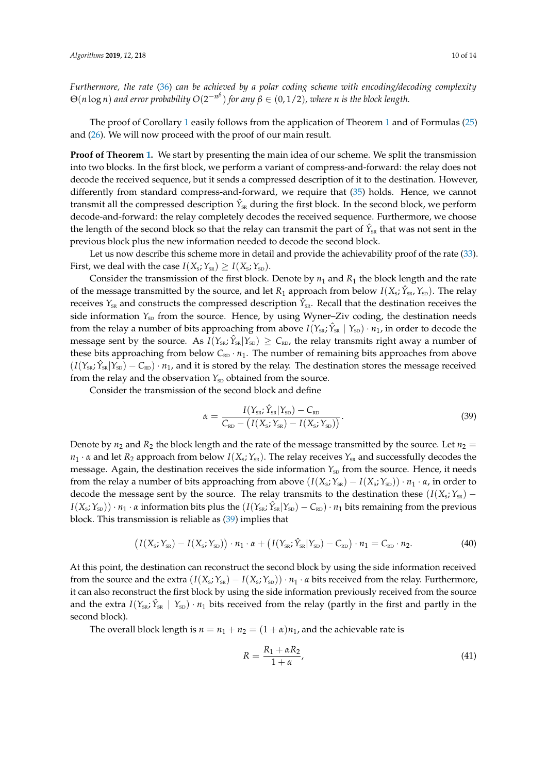*Furthermore, the rate* [\(36\)](#page-8-2) *can be achieved by a polar coding scheme with encoding/decoding complexity*  $\Theta(n \log n)$  and error probability  $O(2^{-n^{\beta}})$  for any  $\beta \in (0, 1/2)$ , where n is the block length.

The proof of Corollary [1](#page-8-3) easily follows from the application of Theorem [1](#page-7-2) and of Formulas [\(25\)](#page-6-1) and [\(26\)](#page-7-3). We will now proceed with the proof of our main result.

**Proof of Theorem [1.](#page-7-2)** We start by presenting the main idea of our scheme. We split the transmission into two blocks. In the first block, we perform a variant of compress-and-forward: the relay does not decode the received sequence, but it sends a compressed description of it to the destination. However, differently from standard compress-and-forward, we require that [\(35\)](#page-8-1) holds. Hence, we cannot transmit all the compressed description  $\hat{Y}_{SR}$  during the first block. In the second block, we perform decode-and-forward: the relay completely decodes the received sequence. Furthermore, we choose the length of the second block so that the relay can transmit the part of  $\hat{Y}_{SR}$  that was not sent in the previous block plus the new information needed to decode the second block.

Let us now describe this scheme more in detail and provide the achievability proof of the rate [\(33\)](#page-7-1). First, we deal with the case  $I(X_s; Y_{\text{SR}}) \geq I(X_s; Y_{\text{SD}})$ .

Consider the transmission of the first block. Denote by  $n_1$  and  $R_1$  the block length and the rate of the message transmitted by the source, and let  $R_1$  approach from below  $I(X_s; \hat{Y}_{ss}, Y_{ss})$ . The relay receives  $Y_{\text{SR}}$  and constructs the compressed description  $\hat{Y}_{\text{SR}}$ . Recall that the destination receives the side information  $Y_{SD}$  from the source. Hence, by using Wyner–Ziv coding, the destination needs from the relay a number of bits approaching from above  $I(Y_{SR}; \hat{Y}_{SR} | Y_{SD}) \cdot n_1$ , in order to decode the message sent by the source. As  $I(Y_{SR}; \hat{Y}_{SR} | Y_{SD}) \geq C_{RD}$ , the relay transmits right away a number of these bits approaching from below  $C_{RD} \cdot n_1$ . The number of remaining bits approaches from above  $(I(Y_{\text{SR}}; \hat{Y}_{\text{SR}} | Y_{\text{SD}}) - C_{\text{RD}}) \cdot n_1$ , and it is stored by the relay. The destination stores the message received from the relay and the observation  $Y_{SD}$  obtained from the source.

Consider the transmission of the second block and define

<span id="page-9-0"></span>
$$
\alpha = \frac{I(Y_{\rm SR}; \hat{Y}_{\rm SR}|Y_{\rm SD}) - C_{\rm RD}}{C_{\rm RD} - \left(I(X_{\rm S}; Y_{\rm SR}) - I(X_{\rm S}; Y_{\rm SD})\right)}.
$$
\n(39)

Denote by  $n_2$  and  $R_2$  the block length and the rate of the message transmitted by the source. Let  $n_2 =$  $n_1 \cdot \alpha$  and let  $R_2$  approach from below  $I(X_s; Y_{sR})$ . The relay receives  $Y_{sR}$  and successfully decodes the message. Again, the destination receives the side information  $Y_{SD}$  from the source. Hence, it needs from the relay a number of bits approaching from above  $(I(X_s; Y_{sR}) - I(X_s; Y_{sD})) \cdot n_1 \cdot \alpha$ , in order to decode the message sent by the source. The relay transmits to the destination these  $(I(X_s; Y_{sR}) - I(S_s; Y_{sR}))$  $I(X_s; Y_{\text{SD}})) \cdot n_1 \cdot \alpha$  information bits plus the  $(I(Y_{\text{SR}}; \hat{Y}_{\text{SR}} | Y_{\text{SD}}) - C_{\text{RD}}) \cdot n_1$  bits remaining from the previous block. This transmission is reliable as [\(39\)](#page-9-0) implies that

$$
\left(I(X_{\rm s}; Y_{\rm sr}) - I(X_{\rm s}; Y_{\rm SD})\right) \cdot n_1 \cdot \alpha + \left(I(Y_{\rm sr}; \hat{Y}_{\rm sr} | Y_{\rm SD}) - C_{\rm RD}\right) \cdot n_1 = C_{\rm RD} \cdot n_2. \tag{40}
$$

At this point, the destination can reconstruct the second block by using the side information received from the source and the extra  $(I(X_s; Y_{sR}) - I(X_s; Y_{sD})) \cdot n_1 \cdot \alpha$  bits received from the relay. Furthermore, it can also reconstruct the first block by using the side information previously received from the source and the extra  $I(Y_{SK}; \hat{Y}_{SK} | Y_{SD}) \cdot n_1$  bits received from the relay (partly in the first and partly in the second block).

The overall block length is  $n = n_1 + n_2 = (1 + \alpha)n_1$ , and the achievable rate is

$$
R = \frac{R_1 + \alpha R_2}{1 + \alpha},\tag{41}
$$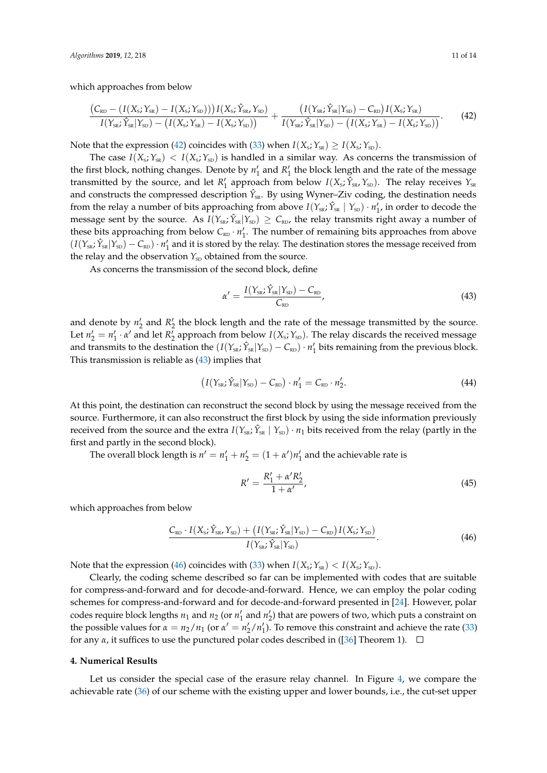which approaches from below

<span id="page-10-1"></span>
$$
\frac{(C_{RD} - (I(X_{s}; Y_{SR}) - I(X_{s}; Y_{SD})))(X_{s}; \hat{Y}_{SR}, Y_{SD})}{I(Y_{SR}; \hat{Y}_{SR}|Y_{SD}) - (I(X_{s}; Y_{SR}) - I(X_{s}; Y_{SD}))} + \frac{(I(Y_{SR}; \hat{Y}_{SR}|Y_{SD}) - C_{RD})I(X_{s}; Y_{SR})}{I(Y_{SR}; \hat{Y}_{SR}|Y_{SD}) - (I(X_{s}; Y_{SD}))}.
$$
(42)

Note that the expression [\(42\)](#page-10-1) coincides with [\(33\)](#page-7-1) when  $I(X_s; Y_{ss}) \ge I(X_s; Y_{sp})$ .

The case  $I(X_s; Y_{ss}) < I(X_s; Y_{ss})$  is handled in a similar way. As concerns the transmission of the first block, nothing changes. Denote by  $n'_1$  and  $R'_1$  the block length and the rate of the message transmitted by the source, and let  $R'_1$  approach from below  $I(X_s; \hat{Y}_{ss}, Y_{sp})$ . The relay receives  $Y_{ss}$ and constructs the compressed description  $\hat{Y}_{SR}$ . By using Wyner–Ziv coding, the destination needs from the relay a number of bits approaching from above  $I(Y_{SR}; \hat{Y}_{SR} | Y_{SD}) \cdot n'_1$ , in order to decode the message sent by the source. As  $I(Y_{SR}; \hat{Y}_{SR} | Y_{SD}) \geq C_{RD}$ , the relay transmits right away a number of these bits approaching from below  $C_{RD} \cdot n'_1$ . The number of remaining bits approaches from above  $(I(Y_{\rm SR}; \hat{Y}_{\rm SR}|Y_{\rm SD}) - C_{\rm RD}) \cdot n'_1$  and it is stored by the relay. The destination stores the message received from the relay and the observation  $Y_{SD}$  obtained from the source.

As concerns the transmission of the second block, define

<span id="page-10-2"></span>
$$
\alpha' = \frac{I(Y_{\rm SR}; \hat{Y}_{\rm SR}|Y_{\rm SD}) - C_{\rm RD}}{C_{\rm RD}},\tag{43}
$$

and denote by  $n'_2$  and  $R'_2$  the block length and the rate of the message transmitted by the source. Let  $n'_2 = n'_1 \cdot \alpha'$  and let  $R'_2$  approach from below  $I(X_s; Y_{\text{SD}})$ . The relay discards the received message and transmits to the destination the  $(I(Y_{SK}; \hat{Y}_{SK}|Y_{SD}) - C_{RD}) \cdot n'_1$  bits remaining from the previous block. This transmission is reliable as [\(43\)](#page-10-2) implies that

$$
\left(I(Y_{\rm SR}; \hat{Y}_{\rm SR}|Y_{\rm SD}) - C_{\rm RD}\right) \cdot n_1' = C_{\rm RD} \cdot n_2'.
$$
\n(44)

At this point, the destination can reconstruct the second block by using the message received from the source. Furthermore, it can also reconstruct the first block by using the side information previously received from the source and the extra  $I(Y_{SR}; \hat{Y}_{SR} | Y_{SD}) \cdot n_1$  bits received from the relay (partly in the first and partly in the second block).

The overall block length is  $n' = n'_1 + n'_2 = (1 + \alpha')n'_1$  and the achievable rate is

$$
R' = \frac{R'_1 + \alpha' R'_2}{1 + \alpha'},\tag{45}
$$

which approaches from below

<span id="page-10-3"></span>
$$
\frac{C_{\text{RD}} \cdot I(X_{\text{s}}; \hat{Y}_{\text{SR}}, Y_{\text{SD}}) + \left(I(Y_{\text{SR}}; \hat{Y}_{\text{SR}} | Y_{\text{SD}}) - C_{\text{RD}}\right) I(X_{\text{s}}; Y_{\text{SD}})}{I(Y_{\text{SR}}; \hat{Y}_{\text{SR}} | Y_{\text{SD}})}.
$$
\n(46)

Note that the expression [\(46\)](#page-10-3) coincides with [\(33\)](#page-7-1) when  $I(X_s; Y_{ss}) < I(X_s; Y_{sp})$ .

Clearly, the coding scheme described so far can be implemented with codes that are suitable for compress-and-forward and for decode-and-forward. Hence, we can employ the polar coding schemes for compress-and-forward and for decode-and-forward presented in [\[24\]](#page-13-7). However, polar codes require block lengths  $n_1$  and  $n_2$  (or  $n'_1$  and  $n'_2$ ) that are powers of two, which puts a constraint on the possible values for  $\alpha = n_2/n_1$  (or  $\alpha' = n'_2/n'_1$ ). To remove this constraint and achieve the rate [\(33\)](#page-7-1) for any  $\alpha$ , it suffices to use the punctured polar codes described in ([\[36\]](#page-13-19) Theorem 1).  $\Box$ 

#### <span id="page-10-0"></span>**4. Numerical Results**

Let us consider the special case of the erasure relay channel. In Figure [4,](#page-11-1) we compare the achievable rate [\(36\)](#page-8-2) of our scheme with the existing upper and lower bounds, i.e., the cut-set upper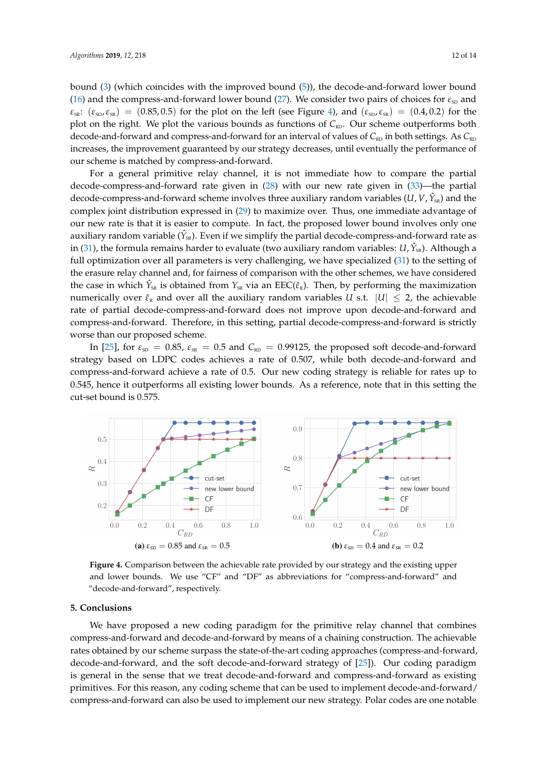bound [\(3\)](#page-2-2) (which coincides with the improved bound [\(5\)](#page-3-0)), the decode-and-forward lower bound [\(16\)](#page-5-0) and the compress-and-forward lower bound [\(27\)](#page-7-4). We consider two pairs of choices for  $\varepsilon_{\text{SD}}$  and  $\varepsilon_{\rm ss}$ : ( $\varepsilon_{\rm SD}, \varepsilon_{\rm SS}$ ) = (0.85, 0.5) for the plot on the left (see Figure [4\)](#page-11-1), and ( $\varepsilon_{\rm SD}, \varepsilon_{\rm SS}$ ) = (0.4, 0.2) for the plot on the right. We plot the various bounds as functions of *C*<sub>RD</sub>. Our scheme outperforms both decode-and-forward and compress-and-forward for an interval of values of  $C_{RD}$  in both settings. As  $C_{RD}$ increases, the improvement guaranteed by our strategy decreases, until eventually the performance of our scheme is matched by compress-and-forward.

For a general primitive relay channel, it is not immediate how to compare the partial decode-compress-and-forward rate given in [\(28\)](#page-7-5) with our new rate given in [\(33\)](#page-7-1)—the partial decode-compress-and-forward scheme involves three auxiliary random variables (*U*, *V*,  $\hat{Y}_{SR}$ ) and the complex joint distribution expressed in [\(29\)](#page-7-6) to maximize over. Thus, one immediate advantage of our new rate is that it is easier to compute. In fact, the proposed lower bound involves only one auxiliary random variable ( $\hat{Y}_{\text{\tiny SR}}$ ). Even if we simplify the partial decode-compress-and-forward rate as in [\(31\)](#page-7-7), the formula remains harder to evaluate (two auxiliary random variables: *U*,  $\hat{Y}_{SR}$ ). Although a full optimization over all parameters is very challenging, we have specialized [\(31\)](#page-7-7) to the setting of the erasure relay channel and, for fairness of comparison with the other schemes, we have considered the case in which  $\hat{Y}_{SR}$  is obtained from  $Y_{SR}$  via an EEC( $\hat{\epsilon}_R$ ). Then, by performing the maximization numerically over  $\hat{\epsilon}_R$  and over all the auxiliary random variables *U* s.t.  $|U| \leq 2$ , the achievable rate of partial decode-compress-and-forward does not improve upon decode-and-forward and compress-and-forward. Therefore, in this setting, partial decode-compress-and-forward is strictly worse than our proposed scheme.

In [\[25\]](#page-13-8), for  $\varepsilon_{\text{SD}} = 0.85$ ,  $\varepsilon_{\text{SR}} = 0.5$  and  $C_{\text{RD}} = 0.99125$ , the proposed soft decode-and-forward strategy based on LDPC codes achieves a rate of 0.507, while both decode-and-forward and compress-and-forward achieve a rate of 0.5. Our new coding strategy is reliable for rates up to 0.545, hence it outperforms all existing lower bounds. As a reference, note that in this setting the cut-set bound is 0.575.

<span id="page-11-1"></span>

Figure 4. Comparison between the achievable rate provided by our strategy and the existing upper and lower bounds. We use "CF" and "DF" as abbreviations for "compress-and-forward" and "decode-and-forward", respectively.

#### <span id="page-11-0"></span> $25<sub>5</sub>$  decodes and the soft decode-and-forward strategy of  $25<sub>5</sub>$ . **5. Conclusions**

We have proposed a new coding paradigm for the primitive relay channel that combines compress-and-forward and decode-and-forward by means of a chaining construction. The achievable rates obtained by our scheme surpass the state-of-the-art coding approaches (compress-and-forward, decode-and-forward, and the soft decode-and-forward strategy of [\[25\]](#page-13-8)). Our coding paradigm is general in the sense that we treat decode-and-forward and compress-and-forward as existing primitives. For this reason, any coding scheme that can be used to implement decode-and-forward/ compress-and-forward can also be used to implement our new strategy. Polar codes are one notable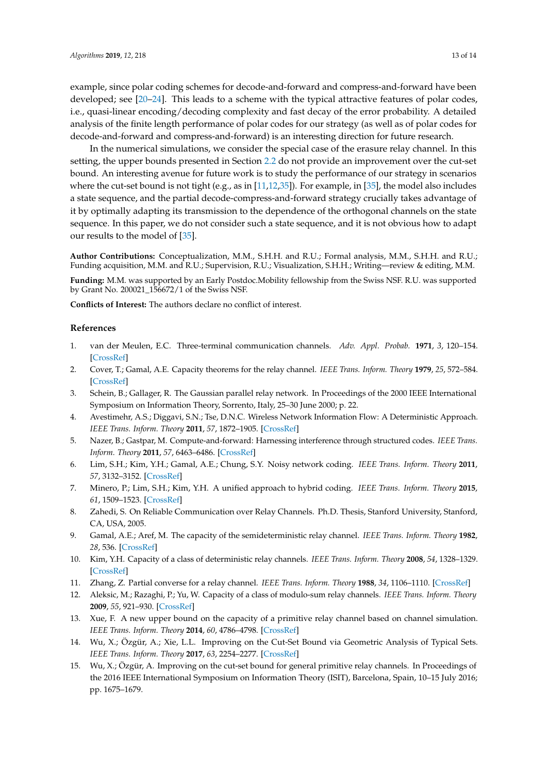example, since polar coding schemes for decode-and-forward and compress-and-forward have been developed; see [\[20–](#page-13-4)[24\]](#page-13-7). This leads to a scheme with the typical attractive features of polar codes, i.e., quasi-linear encoding/decoding complexity and fast decay of the error probability. A detailed analysis of the finite length performance of polar codes for our strategy (as well as of polar codes for decode-and-forward and compress-and-forward) is an interesting direction for future research.

In the numerical simulations, we consider the special case of the erasure relay channel. In this setting, the upper bounds presented in Section [2.2](#page-3-1) do not provide an improvement over the cut-set bound. An interesting avenue for future work is to study the performance of our strategy in scenarios where the cut-set bound is not tight (e.g., as in [\[11](#page-12-6)[,12,](#page-12-7)[35\]](#page-13-18)). For example, in [\[35\]](#page-13-18), the model also includes a state sequence, and the partial decode-compress-and-forward strategy crucially takes advantage of it by optimally adapting its transmission to the dependence of the orthogonal channels on the state sequence. In this paper, we do not consider such a state sequence, and it is not obvious how to adapt our results to the model of [\[35\]](#page-13-18).

**Author Contributions:** Conceptualization, M.M., S.H.H. and R.U.; Formal analysis, M.M., S.H.H. and R.U.; Funding acquisition, M.M. and R.U.; Supervision, R.U.; Visualization, S.H.H.; Writing—review & editing, M.M.

**Funding:** M.M. was supported by an Early Postdoc.Mobility fellowship from the Swiss NSF. R.U. was supported by Grant No. 200021\_156672/1 of the Swiss NSF.

**Conflicts of Interest:** The authors declare no conflict of interest.

#### **References**

- <span id="page-12-0"></span>1. van der Meulen, E.C. Three-terminal communication channels. *Adv. Appl. Probab.* **1971**, *3*, 120–154. [\[CrossRef\]](http://dx.doi.org/10.2307/1426331)
- <span id="page-12-1"></span>2. Cover, T.; Gamal, A.E. Capacity theorems for the relay channel. *IEEE Trans. Inform. Theory* **1979**, *25*, 572–584. [\[CrossRef\]](http://dx.doi.org/10.1109/TIT.1979.1056084)
- <span id="page-12-2"></span>3. Schein, B.; Gallager, R. The Gaussian parallel relay network. In Proceedings of the 2000 IEEE International Symposium on Information Theory, Sorrento, Italy, 25–30 June 2000; p. 22.
- 4. Avestimehr, A.S.; Diggavi, S.N.; Tse, D.N.C. Wireless Network Information Flow: A Deterministic Approach. *IEEE Trans. Inform. Theory* **2011**, *57*, 1872–1905. [\[CrossRef\]](http://dx.doi.org/10.1109/TIT.2011.2110110)
- 5. Nazer, B.; Gastpar, M. Compute-and-forward: Harnessing interference through structured codes. *IEEE Trans. Inform. Theory* **2011**, *57*, 6463–6486. [\[CrossRef\]](http://dx.doi.org/10.1109/TIT.2011.2165816)
- 6. Lim, S.H.; Kim, Y.H.; Gamal, A.E.; Chung, S.Y. Noisy network coding. *IEEE Trans. Inform. Theory* **2011**, *57*, 3132–3152. [\[CrossRef\]](http://dx.doi.org/10.1109/TIT.2011.2119930)
- <span id="page-12-3"></span>7. Minero, P.; Lim, S.H.; Kim, Y.H. A unified approach to hybrid coding. *IEEE Trans. Inform. Theory* **2015**, *61*, 1509–1523. [\[CrossRef\]](http://dx.doi.org/10.1109/TIT.2015.2401000)
- <span id="page-12-4"></span>8. Zahedi, S. On Reliable Communication over Relay Channels. Ph.D. Thesis, Stanford University, Stanford, CA, USA, 2005.
- 9. Gamal, A.E.; Aref, M. The capacity of the semideterministic relay channel. *IEEE Trans. Inform. Theory* **1982**, *28*, 536. [\[CrossRef\]](http://dx.doi.org/10.1109/TIT.1982.1056502)
- <span id="page-12-5"></span>10. Kim, Y.H. Capacity of a class of deterministic relay channels. *IEEE Trans. Inform. Theory* **2008**, *54*, 1328–1329. [\[CrossRef\]](http://dx.doi.org/10.1109/TIT.2007.915921)
- <span id="page-12-6"></span>11. Zhang, Z. Partial converse for a relay channel. *IEEE Trans. Inform. Theory* **1988**, *34*, 1106–1110. [\[CrossRef\]](http://dx.doi.org/10.1109/18.21243)
- <span id="page-12-7"></span>12. Aleksic, M.; Razaghi, P.; Yu, W. Capacity of a class of modulo-sum relay channels. *IEEE Trans. Inform. Theory* **2009**, *55*, 921–930. [\[CrossRef\]](http://dx.doi.org/10.1109/TIT.2008.2011518)
- <span id="page-12-8"></span>13. Xue, F. A new upper bound on the capacity of a primitive relay channel based on channel simulation. *IEEE Trans. Inform. Theory* **2014**, *60*, 4786–4798. [\[CrossRef\]](http://dx.doi.org/10.1109/TIT.2014.2328591)
- <span id="page-12-9"></span>14. Wu, X.; Özgür, A.; Xie, L.L. Improving on the Cut-Set Bound via Geometric Analysis of Typical Sets. *IEEE Trans. Inform. Theory* **2017**, *63*, 2254–2277. [\[CrossRef\]](http://dx.doi.org/10.1109/TIT.2017.2664811)
- <span id="page-12-10"></span>15. Wu, X.; Özgür, A. Improving on the cut-set bound for general primitive relay channels. In Proceedings of the 2016 IEEE International Symposium on Information Theory (ISIT), Barcelona, Spain, 10–15 July 2016; pp. 1675–1679.